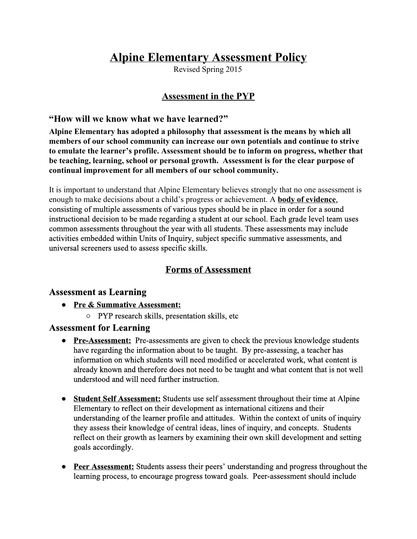# **Alpine Elementary Assessment Policy**

Revised Spring 2015

## **Assessment in the PYP**

### **"How will we know what we have learned?"**

**Alpine Elementary has adopted a philosophy that assessment is the means by which all members of our school community can increase our own potentials and continue to strive to emulate the learner's profile. Assessment should be to inform on progress, whether that be teaching, learning, school or personal growth. Assessment is for the clear purpose of continual improvement for all members of our school community.**

It is important to understand that Alpine Elementary believes strongly that no one assessment is enough to make decisions about a child's progress or achievement. A **body of evidence**, consisting of multiple assessments of various types should be in place in order for a sound instructional decision to be made regarding a student at our school. Each grade level team uses common assessments throughout the year with all students. These assessments may include activities embedded within Units of Inquiry, subject specific summative assessments, and universal screeners used to assess specific skills.

### **Forms of Assessment**

### **Assessment as Learning**

- **● Pre & Summative Assessment:**
	- PYP research skills, presentation skills, etc

### **Assessment for Learning**

- **Pre-Assessment:** Pre-assessments are given to check the previous knowledge students have regarding the information about to be taught. By pre-assessing, a teacher has information on which students will need modified or accelerated work, what content is already known and therefore does not need to be taught and what content that is not well understood and will need further instruction.
- **Student Self Assessment:**Students use self assessment throughout their time at Alpine Elementary to reflect on their development as international citizens and their understanding of the learner profile and attitudes. Within the context of units of inquiry they assess their knowledge of central ideas, lines of inquiry, and concepts. Students reflect on their growth as learners by examining their own skill development and setting goals accordingly.
- **Peer Assessment:**Students assess their peers' understanding and progress throughout the learning process, to encourage progress toward goals. Peer-assessment should include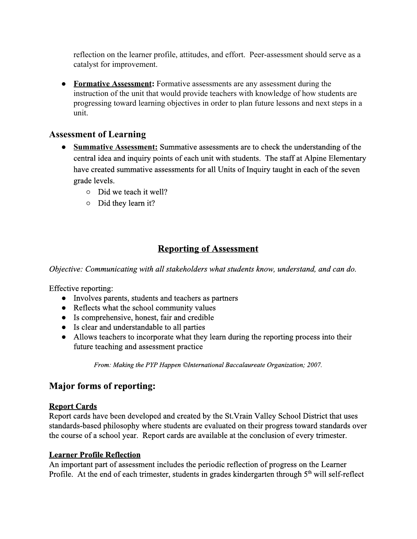reflection on the learner profile, attitudes, and effort. Peer-assessment should serve as a catalyst for improvement.

● **Formative Assessment:**Formative assessments are any assessment during the instruction of the unit that would provide teachers with knowledge of how students are progressing toward learning objectives in order to plan future lessons and next steps in a unit.

### **Assessment of Learning**

- **Summative Assessment:**Summative assessments are to check the understanding of the central idea and inquiry points of each unit with students. The staff at Alpine Elementary have created summative assessments for all Units of Inquiry taught in each of the seven grade levels.
	- Did we teach it well?
	- Did they learn it?

# **Reporting of Assessment**

*Objective: Communicating with all stakeholders what students know, understand, and can do.*

Effective reporting:

- Involves parents, students and teachers as partners
- Reflects what the school community values
- Is comprehensive, honest, fair and credible
- Is clear and understandable to all parties
- Allows teachers to incorporate what they learn during the reporting process into their future teaching and assessment practice

*From: Making the PYP Happen ©International Baccalaureate Organization; 2007.*

# **Major forms of reporting:**

### **Report Cards**

Report cards have been developed and created by the St.Vrain Valley School District that uses standards-based philosophy where students are evaluated on their progress toward standards over the course of a school year. Report cards are available at the conclusion of every trimester.

### **Learner Profile Reflection**

An important part of assessment includes the periodic reflection of progress on the Learner Profile. At the end of each trimester, students in grades kindergarten through 5<sup>th</sup> will self-reflect